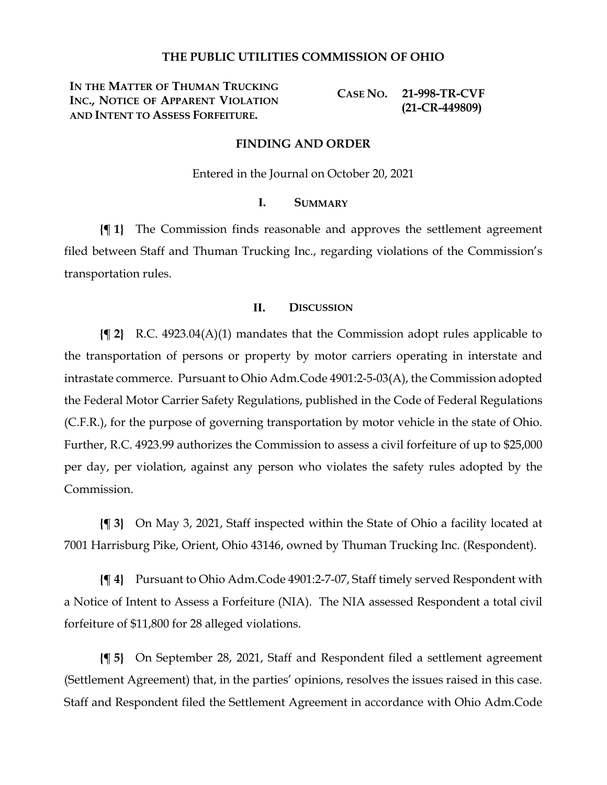## **THE PUBLIC UTILITIES COMMISSION OF OHIO**

**IN THE MATTER OF THUMAN TRUCKING INC., NOTICE OF APPARENT VIOLATION AND INTENT TO ASSESS FORFEITURE.**

**CASE NO. 21-998-TR-CVF (21-CR-449809)**

### **FINDING AND ORDER**

Entered in the Journal on October 20, 2021

## **I. SUMMARY**

**{¶ 1}** The Commission finds reasonable and approves the settlement agreement filed between Staff and Thuman Trucking Inc., regarding violations of the Commission's transportation rules.

### **II. DISCUSSION**

**{¶ 2}** R.C. 4923.04(A)(1) mandates that the Commission adopt rules applicable to the transportation of persons or property by motor carriers operating in interstate and intrastate commerce. Pursuant to Ohio Adm.Code 4901:2-5-03(A), the Commission adopted the Federal Motor Carrier Safety Regulations, published in the Code of Federal Regulations (C.F.R.), for the purpose of governing transportation by motor vehicle in the state of Ohio. Further, R.C. 4923.99 authorizes the Commission to assess a civil forfeiture of up to \$25,000 per day, per violation, against any person who violates the safety rules adopted by the Commission.

**{¶ 3}** On May 3, 2021, Staff inspected within the State of Ohio a facility located at 7001 Harrisburg Pike, Orient, Ohio 43146, owned by Thuman Trucking Inc. (Respondent).

**{¶ 4}** Pursuant to Ohio Adm.Code 4901:2-7-07, Staff timely served Respondent with a Notice of Intent to Assess a Forfeiture (NIA). The NIA assessed Respondent a total civil forfeiture of \$11,800 for 28 alleged violations.

**{¶ 5}** On September 28, 2021, Staff and Respondent filed a settlement agreement (Settlement Agreement) that, in the parties' opinions, resolves the issues raised in this case. Staff and Respondent filed the Settlement Agreement in accordance with Ohio Adm.Code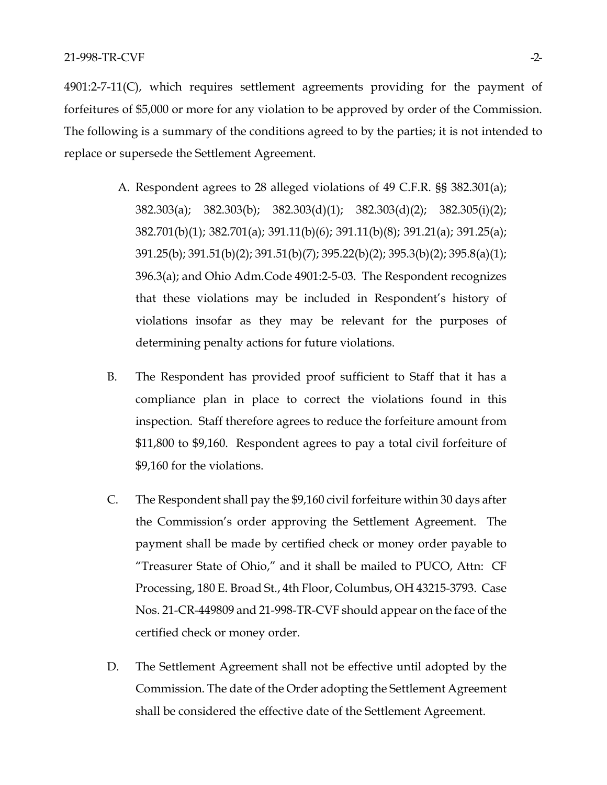4901:2-7-11(C), which requires settlement agreements providing for the payment of forfeitures of \$5,000 or more for any violation to be approved by order of the Commission. The following is a summary of the conditions agreed to by the parties; it is not intended to replace or supersede the Settlement Agreement.

- A. Respondent agrees to 28 alleged violations of 49 C.F.R. §§ 382.301(a); 382.303(a); 382.303(b); 382.303(d)(1); 382.303(d)(2); 382.305(i)(2); 382.701(b)(1); 382.701(a); 391.11(b)(6); 391.11(b)(8); 391.21(a); 391.25(a); 391.25(b); 391.51(b)(2); 391.51(b)(7); 395.22(b)(2); 395.3(b)(2); 395.8(a)(1); 396.3(a); and Ohio Adm.Code 4901:2-5-03. The Respondent recognizes that these violations may be included in Respondent's history of violations insofar as they may be relevant for the purposes of determining penalty actions for future violations.
- B. The Respondent has provided proof sufficient to Staff that it has a compliance plan in place to correct the violations found in this inspection. Staff therefore agrees to reduce the forfeiture amount from \$11,800 to \$9,160. Respondent agrees to pay a total civil forfeiture of \$9,160 for the violations.
- C. The Respondent shall pay the \$9,160 civil forfeiture within 30 days after the Commission's order approving the Settlement Agreement. The payment shall be made by certified check or money order payable to "Treasurer State of Ohio," and it shall be mailed to PUCO, Attn: CF Processing, 180 E. Broad St., 4th Floor, Columbus, OH 43215-3793. Case Nos. 21-CR-449809 and 21-998-TR-CVF should appear on the face of the certified check or money order.
- D. The Settlement Agreement shall not be effective until adopted by the Commission. The date of the Order adopting the Settlement Agreement shall be considered the effective date of the Settlement Agreement.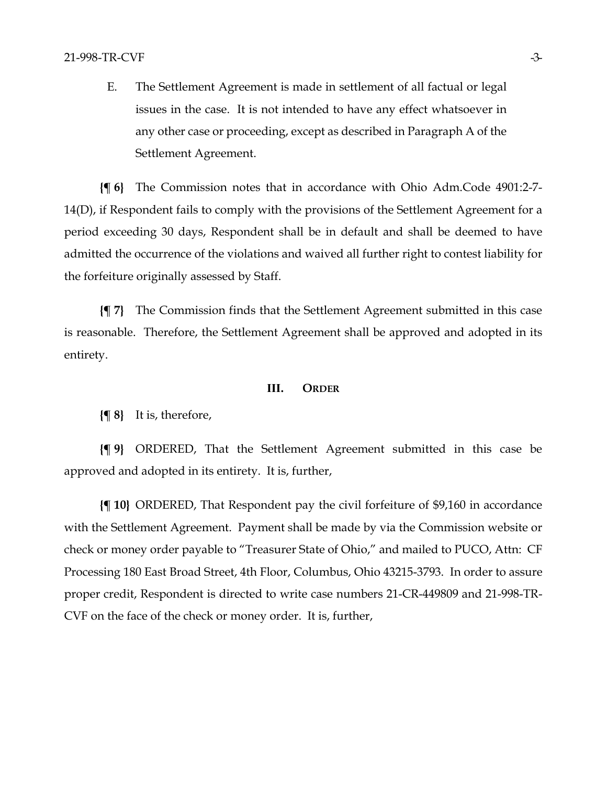E. The Settlement Agreement is made in settlement of all factual or legal issues in the case. It is not intended to have any effect whatsoever in any other case or proceeding, except as described in Paragraph A of the Settlement Agreement.

**{¶ 6}** The Commission notes that in accordance with Ohio Adm.Code 4901:2-7- 14(D), if Respondent fails to comply with the provisions of the Settlement Agreement for a period exceeding 30 days, Respondent shall be in default and shall be deemed to have admitted the occurrence of the violations and waived all further right to contest liability for the forfeiture originally assessed by Staff.

**{¶ 7}** The Commission finds that the Settlement Agreement submitted in this case is reasonable. Therefore, the Settlement Agreement shall be approved and adopted in its entirety.

#### **III. ORDER**

**{¶ 8}** It is, therefore,

**{¶ 9}** ORDERED, That the Settlement Agreement submitted in this case be approved and adopted in its entirety. It is, further,

**{¶ 10}** ORDERED, That Respondent pay the civil forfeiture of \$9,160 in accordance with the Settlement Agreement. Payment shall be made by via the Commission website or check or money order payable to "Treasurer State of Ohio," and mailed to PUCO, Attn: CF Processing 180 East Broad Street, 4th Floor, Columbus, Ohio 43215-3793. In order to assure proper credit, Respondent is directed to write case numbers 21-CR-449809 and 21-998-TR-CVF on the face of the check or money order. It is, further,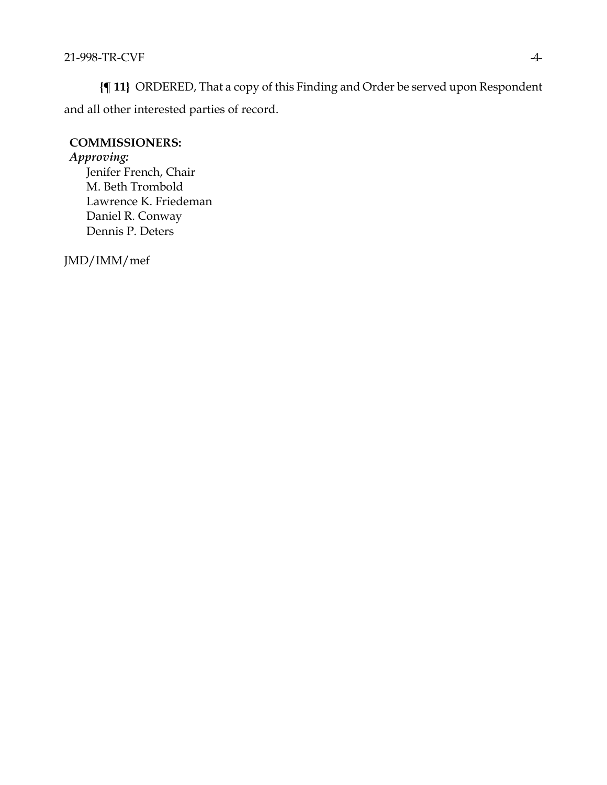**{¶ 11}** ORDERED, That a copy of this Finding and Order be served upon Respondent and all other interested parties of record.

# **COMMISSIONERS:**

## *Approving:*

Jenifer French, Chair M. Beth Trombold Lawrence K. Friedeman Daniel R. Conway Dennis P. Deters

JMD/IMM/mef